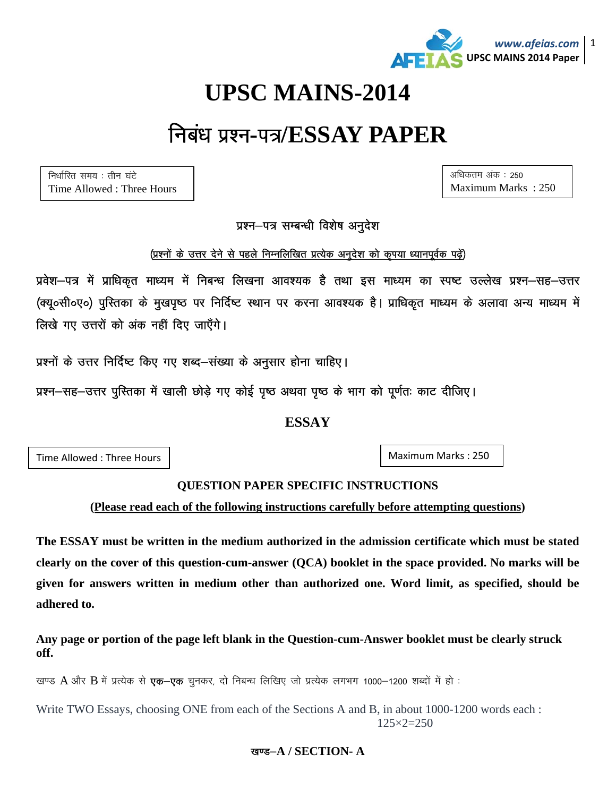

## **UPSC MAINS-2014**

# निबंध प्रश्न-पत्र/ESSAY PAPER

निर्धारित समय: तीन घंटे Time Allowed: Three Hours अधिकतम अंक : 250 Maximum Marks: 250

Maximum Marks: 250

प्रश्न–पत्र सम्बन्धी विशेष अनुदेश

(प्रश्नों के उत्तर देने से पहले निम्नलिखित प्रत्येक अनुदेश को कृपया ध्यानपूर्वक पढ़ें)

प्रवेश-पत्र में प्राधिकृत माध्यम में निबन्ध लिखना आवश्यक है तथा इस माध्यम का स्पष्ट उल्लेख प्रश्न-सह-उत्तर (क्यू०सी०ए०) पुस्तिका के मुखपृष्ठ पर निर्दिष्ट स्थान पर करना आवश्यक है। प्राधिकृत माध्यम के अलावा अन्य माध्यम में लिखे गए उत्तरों को अंक नहीं दिए जाएँगे।

प्रश्नों के उत्तर निर्दिष्ट किए गए शब्द-संख्या के अनुसार होना चाहिए।

प्रश्न-सह-उत्तर पुस्तिका में खाली छोड़े गए कोई पृष्ठ अथवा पृष्ठ के भाग को पूर्णतः काट दीजिए।

**ESSAY** 

Time Allowed: Three Hours

#### **QUESTION PAPER SPECIFIC INSTRUCTIONS**

#### (Please read each of the following instructions carefully before attempting questions)

The ESSAY must be written in the medium authorized in the admission certificate which must be stated clearly on the cover of this question-cum-answer (QCA) booklet in the space provided. No marks will be given for answers written in medium other than authorized one. Word limit, as specified, should be adhered to.

Any page or portion of the page left blank in the Question-cum-Answer booklet must be clearly struck off.

खण्ड A और B में प्रत्येक से एक-एक चुनकर, दो निबन्ध लिखिए जो प्रत्येक लगभग 1000-1200 शब्दों में हो:

Write TWO Essays, choosing ONE from each of the Sections A and B, in about 1000-1200 words each:  $125 \times 2 = 250$ 

#### खण्ड-A / SECTION- A